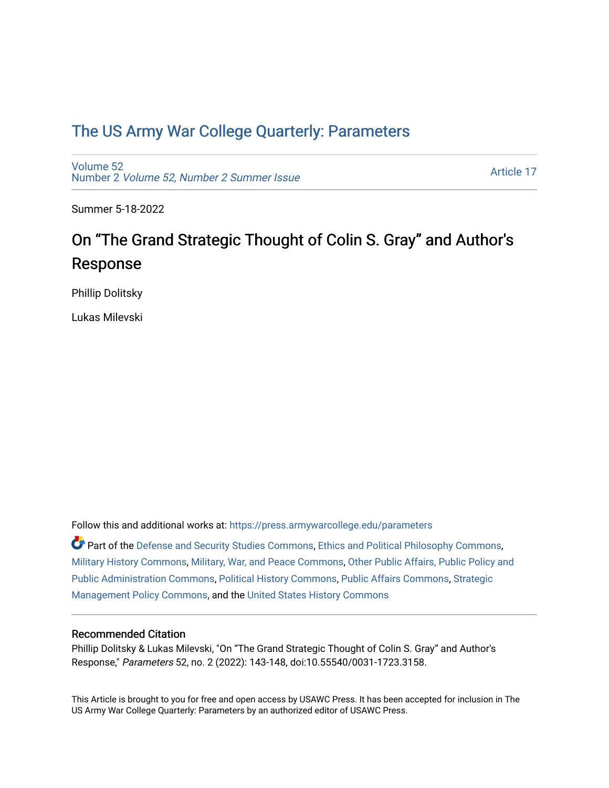## [The US Army War College Quarterly: Parameters](https://press.armywarcollege.edu/parameters)

[Volume 52](https://press.armywarcollege.edu/parameters/vol52) Number 2 [Volume 52, Number 2 Summer Issue](https://press.armywarcollege.edu/parameters/vol52/iss2)

[Article 17](https://press.armywarcollege.edu/parameters/vol52/iss2/17) 

Summer 5-18-2022

# On "The Grand Strategic Thought of Colin S. Gray" and Author's Response

Phillip Dolitsky

Lukas Milevski

Follow this and additional works at: [https://press.armywarcollege.edu/parameters](https://press.armywarcollege.edu/parameters?utm_source=press.armywarcollege.edu%2Fparameters%2Fvol52%2Fiss2%2F17&utm_medium=PDF&utm_campaign=PDFCoverPages) 

Part of the [Defense and Security Studies Commons](https://network.bepress.com/hgg/discipline/394?utm_source=press.armywarcollege.edu%2Fparameters%2Fvol52%2Fiss2%2F17&utm_medium=PDF&utm_campaign=PDFCoverPages), [Ethics and Political Philosophy Commons](https://network.bepress.com/hgg/discipline/529?utm_source=press.armywarcollege.edu%2Fparameters%2Fvol52%2Fiss2%2F17&utm_medium=PDF&utm_campaign=PDFCoverPages), [Military History Commons,](https://network.bepress.com/hgg/discipline/504?utm_source=press.armywarcollege.edu%2Fparameters%2Fvol52%2Fiss2%2F17&utm_medium=PDF&utm_campaign=PDFCoverPages) [Military, War, and Peace Commons,](https://network.bepress.com/hgg/discipline/861?utm_source=press.armywarcollege.edu%2Fparameters%2Fvol52%2Fiss2%2F17&utm_medium=PDF&utm_campaign=PDFCoverPages) [Other Public Affairs, Public Policy and](https://network.bepress.com/hgg/discipline/403?utm_source=press.armywarcollege.edu%2Fparameters%2Fvol52%2Fiss2%2F17&utm_medium=PDF&utm_campaign=PDFCoverPages)  [Public Administration Commons,](https://network.bepress.com/hgg/discipline/403?utm_source=press.armywarcollege.edu%2Fparameters%2Fvol52%2Fiss2%2F17&utm_medium=PDF&utm_campaign=PDFCoverPages) [Political History Commons,](https://network.bepress.com/hgg/discipline/505?utm_source=press.armywarcollege.edu%2Fparameters%2Fvol52%2Fiss2%2F17&utm_medium=PDF&utm_campaign=PDFCoverPages) [Public Affairs Commons,](https://network.bepress.com/hgg/discipline/399?utm_source=press.armywarcollege.edu%2Fparameters%2Fvol52%2Fiss2%2F17&utm_medium=PDF&utm_campaign=PDFCoverPages) [Strategic](https://network.bepress.com/hgg/discipline/642?utm_source=press.armywarcollege.edu%2Fparameters%2Fvol52%2Fiss2%2F17&utm_medium=PDF&utm_campaign=PDFCoverPages)  [Management Policy Commons,](https://network.bepress.com/hgg/discipline/642?utm_source=press.armywarcollege.edu%2Fparameters%2Fvol52%2Fiss2%2F17&utm_medium=PDF&utm_campaign=PDFCoverPages) and the [United States History Commons](https://network.bepress.com/hgg/discipline/495?utm_source=press.armywarcollege.edu%2Fparameters%2Fvol52%2Fiss2%2F17&utm_medium=PDF&utm_campaign=PDFCoverPages)

### Recommended Citation

Phillip Dolitsky & Lukas Milevski, "On "The Grand Strategic Thought of Colin S. Gray" and Author's Response," Parameters 52, no. 2 (2022): 143-148, doi:10.55540/0031-1723.3158.

This Article is brought to you for free and open access by USAWC Press. It has been accepted for inclusion in The US Army War College Quarterly: Parameters by an authorized editor of USAWC Press.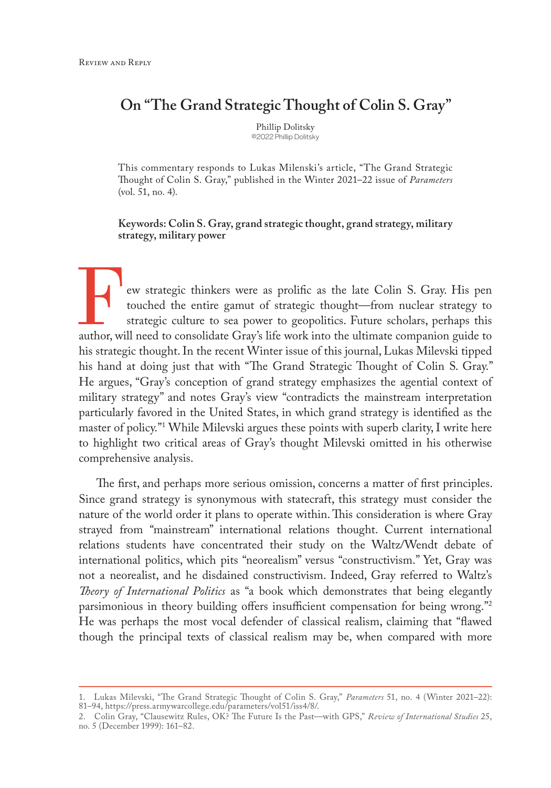### **On "The Grand Strategic Thought of Colin S. Gray"**

Phillip Dolitsky ©2022 Phillip Dolitsky

This commentary responds to Lukas Milenski's article, "The Grand Strategic Thought of Colin S. Gray," published in the Winter 2021–22 issue of *Parameters* (vol. 51, no. 4).

#### **Keywords: Colin S. Gray, grand strategic thought, grand strategy, military strategy, military power**

ew strategic thinkers were as prolific as the late Colin S. Gray. His pen touched the entire gamut of strategic thought—from nuclear strategy to strategic culture to sea power to geopolitics. Future scholars, perhaps this author, will need to consolidate Gray's life work into the ultimate companion guide to his strategic thought. In the recent Winter issue of this journal, Lukas Milevski tipped his hand at doing just that with "The Grand Strategic Thought of Colin S. Gray." He argues, "Gray's conception of grand strategy emphasizes the agential context of military strategy" and notes Gray's view "contradicts the mainstream interpretation particularly favored in the United States, in which grand strategy is identified as the master of policy."1 While Milevski argues these points with superb clarity, I write here to highlight two critical areas of Gray's thought Milevski omitted in his otherwise comprehensive analysis.

 The first, and perhaps more serious omission, concerns a matter of first principles. Since grand strategy is synonymous with statecraft, this strategy must consider the nature of the world order it plans to operate within. This consideration is where Gray strayed from "mainstream" international relations thought. Current international relations students have concentrated their study on the Waltz/Wendt debate of international politics, which pits "neorealism" versus "constructivism." Yet, Gray was not a neorealist, and he disdained constructivism. Indeed, Gray referred to Waltz's *Theory of International Politics* as "a book which demonstrates that being elegantly parsimonious in theory building offers insufficient compensation for being wrong."2 He was perhaps the most vocal defender of classical realism, claiming that "flawed though the principal texts of classical realism may be, when compared with more

<sup>1.</sup> Lukas Milevski, "The Grand Strategic Thought of Colin S. Gray," *Parameters* 51, no. 4 (Winter 2021–22): 81–94, [https://press.armywarcollege.edu/parameters/vol51/iss4/8/.](https://press.armywarcollege.edu/parameters/vol51/iss4/8/)

<sup>2.</sup> Colin Gray, "Clausewitz Rules, OK? The Future Is the Past—with GPS," *Review of International Studies* 25, no. 5 (December 1999): 161–82.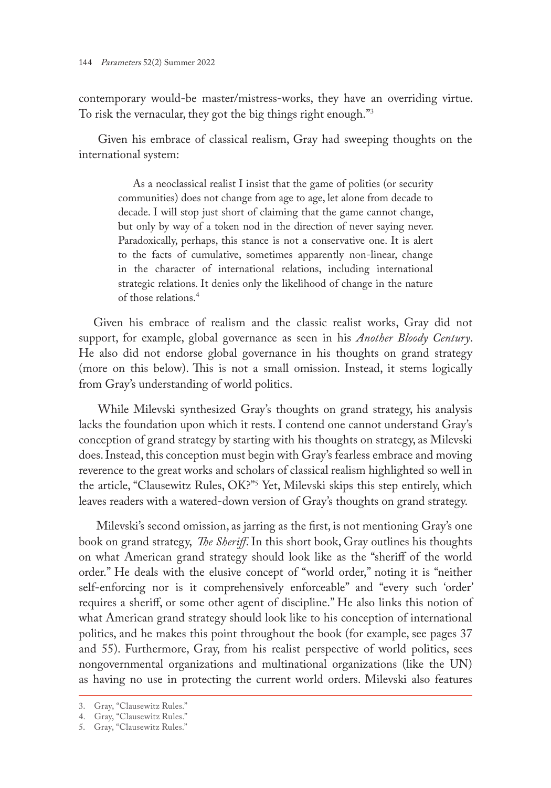contemporary would-be master/mistress-works, they have an overriding virtue. To risk the vernacular, they got the big things right enough."3

 Given his embrace of classical realism, Gray had sweeping thoughts on the international system:

As a neoclassical realist I insist that the game of polities (or security communities) does not change from age to age, let alone from decade to decade. I will stop just short of claiming that the game cannot change, but only by way of a token nod in the direction of never saying never. Paradoxically, perhaps, this stance is not a conservative one. It is alert to the facts of cumulative, sometimes apparently non-linear, change in the character of international relations, including international strategic relations. It denies only the likelihood of change in the nature of those relations.4

Given his embrace of realism and the classic realist works, Gray did not support, for example, global governance as seen in his *Another Bloody Century*. He also did not endorse global governance in his thoughts on grand strategy (more on this below). This is not a small omission. Instead, it stems logically from Gray's understanding of world politics.

 While Milevski synthesized Gray's thoughts on grand strategy, his analysis lacks the foundation upon which it rests. I contend one cannot understand Gray's conception of grand strategy by starting with his thoughts on strategy, as Milevski does. Instead, this conception must begin with Gray's fearless embrace and moving reverence to the great works and scholars of classical realism highlighted so well in the article, "Clausewitz Rules, OK?"5 Yet, Milevski skips this step entirely, which leaves readers with a watered-down version of Gray's thoughts on grand strategy.

 Milevski's second omission, as jarring as the first, is not mentioning Gray's one book on grand strategy, *[The](file:///\\Carla0unitymigr\ssi\Parameters\Articles\Dolitsky_ResponseToGrandStrategicThoughtOfColinGray_EditingCycle\%20The) Sheriff*. In this short book, Gray outlines his thoughts on what American grand strategy should look like as the "sheriff of the world order." He deals with the elusive concept of "world order," noting it is "neither self-enforcing nor is it comprehensively enforceable" and "every such 'order' requires a sheriff, or some other agent of discipline." He also links this notion of what American grand strategy should look like to his conception of international politics, and he makes this point throughout the book (for example, see pages 37 and 55). Furthermore, Gray, from his realist perspective of world politics, sees nongovernmental organizations and multinational organizations (like the UN) as having no use in protecting the current world orders. Milevski also features

<sup>3.</sup> Gray, "Clausewitz Rules."

<sup>4.</sup> Gray, "Clausewitz Rules."

<sup>5.</sup> Gray, "Clausewitz Rules."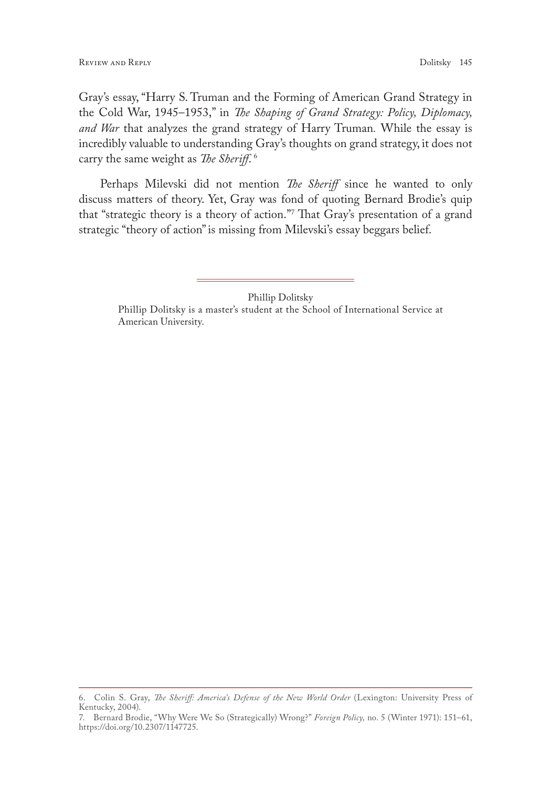Gray's essay, "Harry S. Truman and the Forming of American Grand Strategy in the Cold War, 1945–1953," in *The Shaping of Grand Strategy: Policy, Diplomacy, and War* that analyzes the grand strategy of Harry Truman*.* While the essay is incredibly valuable to understanding Gray's thoughts on grand strategy, it does not carry the same weight as *The Sheriff*. 6

 Perhaps Milevski did not mention *The Sheriff* since he wanted to only discuss matters of theory. Yet, Gray was fond of quoting Bernard Brodie's quip that "strategic theory is a theory of action."7 That Gray's presentation of a grand strategic "theory of action" is missing from Milevski's essay beggars belief.

Phillip Dolitsky

Phillip Dolitsky is a master's student at the School of International Service at American University.

<sup>6.</sup> Colin S. Gray, *The Sheriff: America's Defense of the New World Order* (Lexington: University Press of Kentucky, 2004).

<sup>7.</sup> Bernard Brodie, "Why Were We So (Strategically) Wrong?" *Foreign Policy,* no. 5 (Winter 1971): 151–61, <https://doi.org/10.2307/1147725>.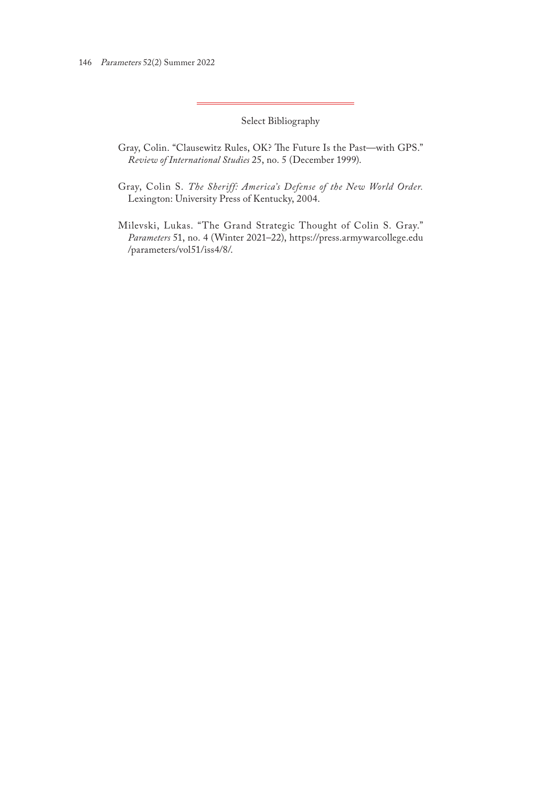Select Bibliography

- Gray, Colin. "Clausewitz Rules, OK? The Future Is the Past—with GPS." *Review of International Studies* 25, no. 5 (December 1999).
- Gray, Colin S. *The Sheriff: America's Defense of the New World Order.*  Lexington: University Press of Kentucky, 2004.
- Milevski, Lukas. "The Grand Strategic Thought of Colin S. Gray." *Parameters* 51, no. 4 (Winter 2021–22), [https://press.armywarcollege.edu](https://press.armywarcollege.edu/parameters/vol51/iss4/8/) [/parameters/vol51/iss4/8/.](https://press.armywarcollege.edu/parameters/vol51/iss4/8/)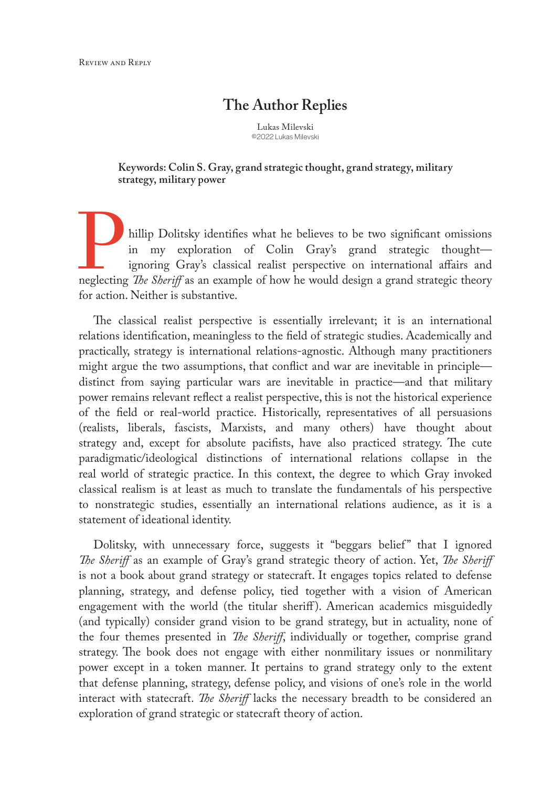### **The Author Replies**

Lukas Milevski ©2022 Lukas Milevski

**Keywords: Colin S. Gray, grand strategic thought, grand strategy, military strategy, military power**

hillip Dolitsky identifies what he believes to be two significant omissions in my exploration of Colin Gray's grand strategic thought ignoring Gray's classical realist perspective on international affairs and neglecting *The Sheriff* as an example of how he would design a grand strategic theory for action. Neither is substantive.

The classical realist perspective is essentially irrelevant; it is an international relations identification, meaningless to the field of strategic studies. Academically and practically, strategy is international relations-agnostic. Although many practitioners might argue the two assumptions, that conflict and war are inevitable in principle distinct from saying particular wars are inevitable in practice—and that military power remains relevant reflect a realist perspective, this is not the historical experience of the field or real-world practice. Historically, representatives of all persuasions (realists, liberals, fascists, Marxists, and many others) have thought about strategy and, except for absolute pacifists, have also practiced strategy. The cute paradigmatic/ideological distinctions of international relations collapse in the real world of strategic practice. In this context, the degree to which Gray invoked classical realism is at least as much to translate the fundamentals of his perspective to nonstrategic studies, essentially an international relations audience, as it is a statement of ideational identity.

Dolitsky, with unnecessary force, suggests it "beggars belief" that I ignored *The Sheriff* as an example of Gray's grand strategic theory of action. Yet, *The Sheriff* is not a book about grand strategy or statecraft. It engages topics related to defense planning, strategy, and defense policy, tied together with a vision of American engagement with the world (the titular sheriff). American academics misguidedly (and typically) consider grand vision to be grand strategy, but in actuality, none of the four themes presented in *The Sheriff*, individually or together, comprise grand strategy. The book does not engage with either nonmilitary issues or nonmilitary power except in a token manner. It pertains to grand strategy only to the extent that defense planning, strategy, defense policy, and visions of one's role in the world interact with statecraft. *The Sheriff* lacks the necessary breadth to be considered an exploration of grand strategic or statecraft theory of action.